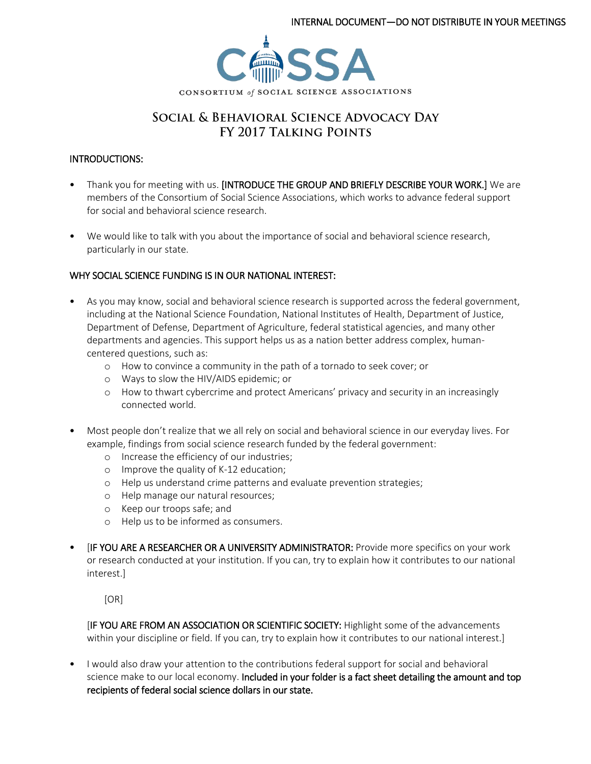

# SOCIAL & BEHAVIORAL SCIENCE ADVOCACY DAY FY 2017 TALKING POINTS

#### INTRODUCTIONS:

- Thank you for meeting with us. [INTRODUCE THE GROUP AND BRIEFLY DESCRIBE YOUR WORK.] We are members of the Consortium of Social Science Associations, which works to advance federal support for social and behavioral science research.
- We would like to talk with you about the importance of social and behavioral science research, particularly in our state.

## WHY SOCIAL SCIENCE FUNDING IS IN OUR NATIONAL INTEREST:

- As you may know, social and behavioral science research is supported across the federal government, including at the National Science Foundation, National Institutes of Health, Department of Justice, Department of Defense, Department of Agriculture, federal statistical agencies, and many other departments and agencies. This support helps us as a nation better address complex, humancentered questions, such as:
	- o How to convince a community in the path of a tornado to seek cover; or
	- o Ways to slow the HIV/AIDS epidemic; or
	- o How to thwart cybercrime and protect Americans' privacy and security in an increasingly connected world.
- Most people don't realize that we all rely on social and behavioral science in our everyday lives. For example, findings from social science research funded by the federal government:
	- o Increase the efficiency of our industries;
	- o Improve the quality of K-12 education;
	- o Help us understand crime patterns and evaluate prevention strategies;
	- o Help manage our natural resources;
	- o Keep our troops safe; and
	- o Help us to be informed as consumers.
- **IF YOU ARE A RESEARCHER OR A UNIVERSITY ADMINISTRATOR:** Provide more specifics on your work or research conducted at your institution. If you can, try to explain how it contributes to our national interest.]

[OR]

[IF YOU ARE FROM AN ASSOCIATION OR SCIENTIFIC SOCIETY: Highlight some of the advancements within your discipline or field. If you can, try to explain how it contributes to our national interest.]

• I would also draw your attention to the contributions federal support for social and behavioral science make to our local economy. Included in your folder is a fact sheet detailing the amount and top recipients of federal social science dollars in our state.